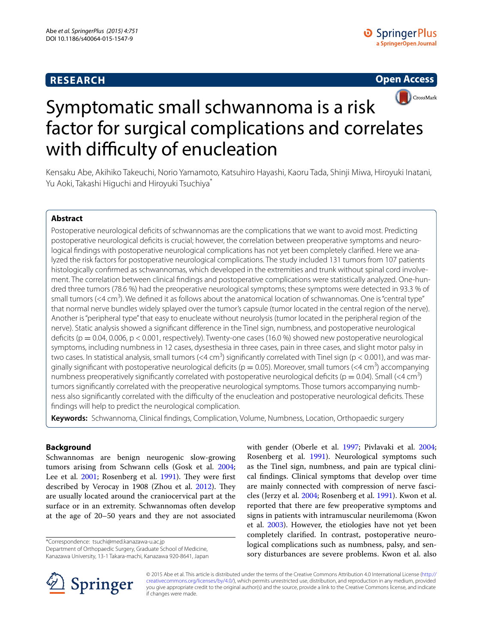# **RESEARCH**





Kensaku Abe, Akihiko Takeuchi, Norio Yamamoto, Katsuhiro Hayashi, Kaoru Tada, Shinji Miwa, Hiroyuki Inatani, Yu Aoki, Takashi Higuchi and Hiroyuki Tsuchiya\*

# **Abstract**

Postoperative neurological deficits of schwannomas are the complications that we want to avoid most. Predicting postoperative neurological deficits is crucial; however, the correlation between preoperative symptoms and neurological findings with postoperative neurological complications has not yet been completely clarified. Here we analyzed the risk factors for postoperative neurological complications. The study included 131 tumors from 107 patients histologically confirmed as schwannomas, which developed in the extremities and trunk without spinal cord involvement. The correlation between clinical findings and postoperative complications were statistically analyzed. One-hundred three tumors (78.6 %) had the preoperative neurological symptoms; these symptoms were detected in 93.3 % of small tumors (<4 cm<sup>3</sup>). We defined it as follows about the anatomical location of schwannomas. One is "central type" that normal nerve bundles widely splayed over the tumor's capsule (tumor located in the central region of the nerve). Another is "peripheral type" that easy to enucleate without neurolysis (tumor located in the peripheral region of the nerve). Static analysis showed a significant difference in the Tinel sign, numbness, and postoperative neurological deficits ( $p = 0.04$ , 0.006,  $p < 0.001$ , respectively). Twenty-one cases (16.0 %) showed new postoperative neurological symptoms, including numbness in 12 cases, dysesthesia in three cases, pain in three cases, and slight motor palsy in two cases. In statistical analysis, small tumors (<4 cm<sup>3</sup>) significantly correlated with Tinel sign (p < 0.001), and was marginally significant with postoperative neurological deficits ( $p = 0.05$ ). Moreover, small tumors (<4 cm<sup>3</sup>) accompanying numbness preoperatively significantly correlated with postoperative neurological deficits ( $p = 0.04$ ). Small (<4 cm<sup>3</sup>) tumors significantly correlated with the preoperative neurological symptoms. Those tumors accompanying numbness also significantly correlated with the difficulty of the enucleation and postoperative neurological deficits. These findings will help to predict the neurological complication.

**Keywords:** Schwannoma, Clinical findings, Complication, Volume, Numbness, Location, Orthopaedic surgery

## **Background**

Schwannomas are benign neurogenic slow-growing tumors arising from Schwann cells (Gosk et al. [2004](#page-9-0); Lee et al. [2001;](#page-9-1) Rosenberg et al. [1991\)](#page-9-2). They were first described by Verocay in 1908 (Zhou et al. [2012](#page-9-3)). They are usually located around the craniocervical part at the surface or in an extremity. Schwannomas often develop at the age of 20–50 years and they are not associated

\*Correspondence: tsuchi@med.kanazawa-u.ac.jp Department of Orthopaedic Surgery, Graduate School of Medicine, Kanazawa University, 13-1 Takara-machi, Kanazawa 920-8641, Japan with gender (Oberle et al. [1997](#page-9-4); Pivlavaki et al. [2004](#page-9-5); Rosenberg et al. [1991\)](#page-9-2). Neurological symptoms such as the Tinel sign, numbness, and pain are typical clinical findings. Clinical symptoms that develop over time are mainly connected with compression of nerve fascicles (Jerzy et al. [2004;](#page-9-6) Rosenberg et al. [1991](#page-9-2)). Kwon et al. reported that there are few preoperative symptoms and signs in patients with intramuscular neurilemoma (Kwon et al. [2003\)](#page-9-7). However, the etiologies have not yet been completely clarified. In contrast, postoperative neurological complications such as numbness, palsy, and sensory disturbances are severe problems. Kwon et al. also



© 2015 Abe et al. This article is distributed under the terms of the Creative Commons Attribution 4.0 International License ([http://](http://creativecommons.org/licenses/by/4.0/) [creativecommons.org/licenses/by/4.0/](http://creativecommons.org/licenses/by/4.0/)), which permits unrestricted use, distribution, and reproduction in any medium, provided you give appropriate credit to the original author(s) and the source, provide a link to the Creative Commons license, and indicate if changes were made.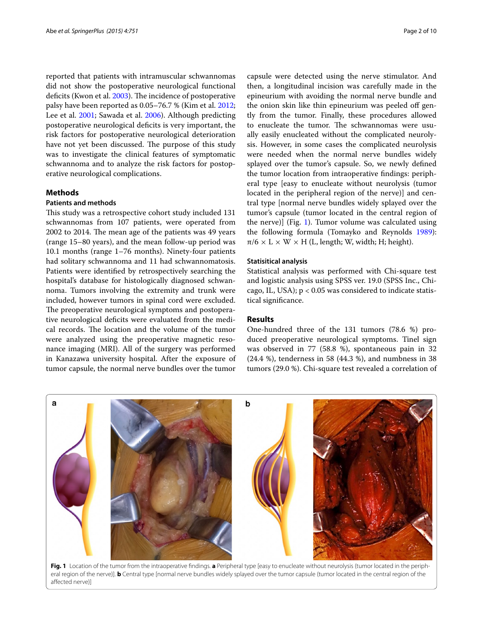reported that patients with intramuscular schwannomas did not show the postoperative neurological functional deficits (Kwon et al. [2003](#page-9-7)). The incidence of postoperative palsy have been reported as 0.05–76.7 % (Kim et al. [2012](#page-9-8); Lee et al. [2001;](#page-9-1) Sawada et al. [2006](#page-9-9)). Although predicting postoperative neurological deficits is very important, the risk factors for postoperative neurological deterioration have not yet been discussed. The purpose of this study was to investigate the clinical features of symptomatic schwannoma and to analyze the risk factors for postoperative neurological complications.

## **Methods**

# **Patients and methods**

This study was a retrospective cohort study included 131 schwannomas from 107 patients, were operated from 2002 to 2014. The mean age of the patients was 49 years (range 15–80 years), and the mean follow-up period was 10.1 months (range 1–76 months). Ninety-four patients had solitary schwannoma and 11 had schwannomatosis. Patients were identified by retrospectively searching the hospital's database for histologically diagnosed schwannoma. Tumors involving the extremity and trunk were included, however tumors in spinal cord were excluded. The preoperative neurological symptoms and postoperative neurological deficits were evaluated from the medical records. The location and the volume of the tumor were analyzed using the preoperative magnetic resonance imaging (MRI). All of the surgery was performed in Kanazawa university hospital. After the exposure of tumor capsule, the normal nerve bundles over the tumor

capsule were detected using the nerve stimulator. And then, a longitudinal incision was carefully made in the epineurium with avoiding the normal nerve bundle and the onion skin like thin epineurium was peeled off gently from the tumor. Finally, these procedures allowed to enucleate the tumor. The schwannomas were usually easily enucleated without the complicated neurolysis. However, in some cases the complicated neurolysis were needed when the normal nerve bundles widely splayed over the tumor's capsule. So, we newly defined the tumor location from intraoperative findings: peripheral type [easy to enucleate without neurolysis (tumor located in the peripheral region of the nerve)] and central type [normal nerve bundles widely splayed over the tumor's capsule (tumor located in the central region of the nerve)] (Fig. [1\)](#page-1-0). Tumor volume was calculated using the following formula (Tomayko and Reynolds [1989](#page-9-10)):  $\pi/6 \times L \times W \times H$  (L, length; W, width; H; height).

### **Statisitical analysis**

Statistical analysis was performed with Chi-square test and logistic analysis using SPSS ver. 19.0 (SPSS Inc., Chicago, IL, USA); p < 0.05 was considered to indicate statistical significance.

### **Results**

One-hundred three of the 131 tumors (78.6 %) produced preoperative neurological symptoms. Tinel sign was observed in 77 (58.8 %), spontaneous pain in 32 (24.4 %), tenderness in 58 (44.3 %), and numbness in 38 tumors (29.0 %). Chi-square test revealed a correlation of

<span id="page-1-0"></span>

**Fig. 1** Location of the tumor from the intraoperative findings. **a** Peripheral type [easy to enucleate without neurolysis (tumor located in the peripheral region of the nerve)]. **b** Central type [normal nerve bundles widely splayed over the tumor capsule (tumor located in the central region of the affected nerve)]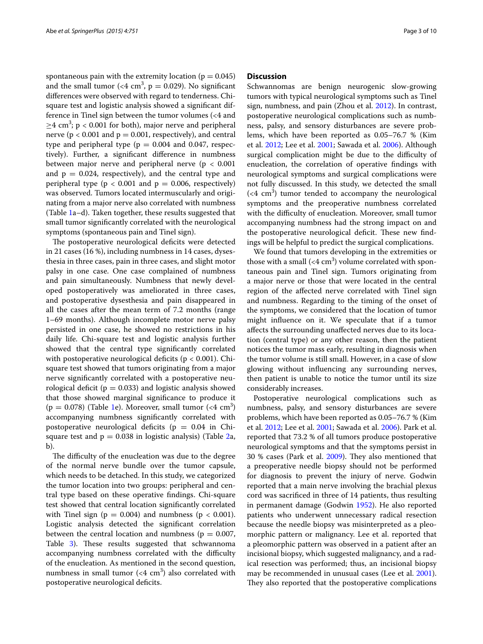spontaneous pain with the extremity location ( $p = 0.045$ ) and the small tumor (<4 cm<sup>3</sup>,  $p = 0.029$ ). No significant differences were observed with regard to tenderness. Chisquare test and logistic analysis showed a significant difference in Tinel sign between the tumor volumes (<4 and  $\geq$ 4 cm<sup>3</sup>; p < 0.001 for both), major nerve and peripheral nerve ( $p < 0.001$  and  $p = 0.001$ , respectively), and central type and peripheral type ( $p = 0.004$  and 0.047, respectively). Further, a significant difference in numbness between major nerve and peripheral nerve ( $p < 0.001$ and  $p = 0.024$ , respectively), and the central type and peripheral type ( $p < 0.001$  and  $p = 0.006$ , respectively) was observed. Tumors located intermuscularly and originating from a major nerve also correlated with numbness (Table [1a](#page-3-0)–d). Taken together, these results suggested that small tumor significantly correlated with the neurological symptoms (spontaneous pain and Tinel sign).

The postoperative neurological deficits were detected in 21 cases (16 %), including numbness in 14 cases, dysesthesia in three cases, pain in three cases, and slight motor palsy in one case. One case complained of numbness and pain simultaneously. Numbness that newly developed postoperatively was ameliorated in three cases, and postoperative dysesthesia and pain disappeared in all the cases after the mean term of 7.2 months (range 1–69 months). Although incomplete motor nerve palsy persisted in one case, he showed no restrictions in his daily life. Chi-square test and logistic analysis further showed that the central type significantly correlated with postoperative neurological deficits ( $p < 0.001$ ). Chisquare test showed that tumors originating from a major nerve significantly correlated with a postoperative neurological deficit ( $p = 0.033$ ) and logistic analysis showed that those showed marginal significance to produce it  $(p = 0.078)$  (Table [1e](#page-3-0)). Moreover, small tumor (<4 cm<sup>3</sup>) accompanying numbness significantly correlated with postoperative neurological deficits ( $p = 0.04$  in Chisquare test and  $p = 0.038$  in logistic analysis) (Table [2a](#page-7-0), b).

The difficulty of the enucleation was due to the degree of the normal nerve bundle over the tumor capsule, which needs to be detached. In this study, we categorized the tumor location into two groups: peripheral and central type based on these operative findings. Chi-square test showed that central location significantly correlated with Tinel sign ( $p = 0.004$ ) and numbness ( $p < 0.001$ ). Logistic analysis detected the significant correlation between the central location and numbness ( $p = 0.007$ , Table [3\)](#page-8-0). These results suggested that schwannoma accompanying numbness correlated with the difficulty of the enucleation. As mentioned in the second question, numbness in small tumor  $( $4 \text{ cm}^3$ )$  also correlated with postoperative neurological deficits.

## **Discussion**

Schwannomas are benign neurogenic slow-growing tumors with typical neurological symptoms such as Tinel sign, numbness, and pain (Zhou et al. [2012\)](#page-9-3). In contrast, postoperative neurological complications such as numbness, palsy, and sensory disturbances are severe problems, which have been reported as 0.05–76.7 % (Kim et al. [2012;](#page-9-8) Lee et al. [2001](#page-9-1); Sawada et al. [2006\)](#page-9-9). Although surgical complication might be due to the difficulty of enucleation, the correlation of operative findings with neurological symptoms and surgical complications were not fully discussed. In this study, we detected the small  $( $4 \text{ cm}^3$ )$  tumor tended to accompany the neurological symptoms and the preoperative numbness correlated with the difficulty of enucleation. Moreover, small tumor accompanying numbness had the strong impact on and the postoperative neurological deficit. These new findings will be helpful to predict the surgical complications.

We found that tumors developing in the extremities or those with a small  $( $4 \text{ cm}^3$ )$  volume correlated with spontaneous pain and Tinel sign. Tumors originating from a major nerve or those that were located in the central region of the affected nerve correlated with Tinel sign and numbness. Regarding to the timing of the onset of the symptoms, we considered that the location of tumor might influence on it. We speculate that if a tumor affects the surrounding unaffected nerves due to its location (central type) or any other reason, then the patient notices the tumor mass early, resulting in diagnosis when the tumor volume is still small. However, in a case of slow glowing without influencing any surrounding nerves, then patient is unable to notice the tumor until its size considerably increases.

Postoperative neurological complications such as numbness, palsy, and sensory disturbances are severe problems, which have been reported as 0.05–76.7 % (Kim et al. [2012](#page-9-8); Lee et al. [2001](#page-9-1); Sawada et al. [2006\)](#page-9-9). Park et al. reported that 73.2 % of all tumors produce postoperative neurological symptoms and that the symptoms persist in 30 % cases (Park et al. [2009](#page-9-11)). They also mentioned that a preoperative needle biopsy should not be performed for diagnosis to prevent the injury of nerve. Godwin reported that a main nerve involving the brachial plexus cord was sacrificed in three of 14 patients, thus resulting in permanent damage (Godwin [1952](#page-9-12)). He also reported patients who underwent unnecessary radical resection because the needle biopsy was misinterpreted as a pleomorphic pattern or malignancy. Lee et al. reported that a pleomorphic pattern was observed in a patient after an incisional biopsy, which suggested malignancy, and a radical resection was performed; thus, an incisional biopsy may be recommended in unusual cases (Lee et al. [2001](#page-9-1)). They also reported that the postoperative complications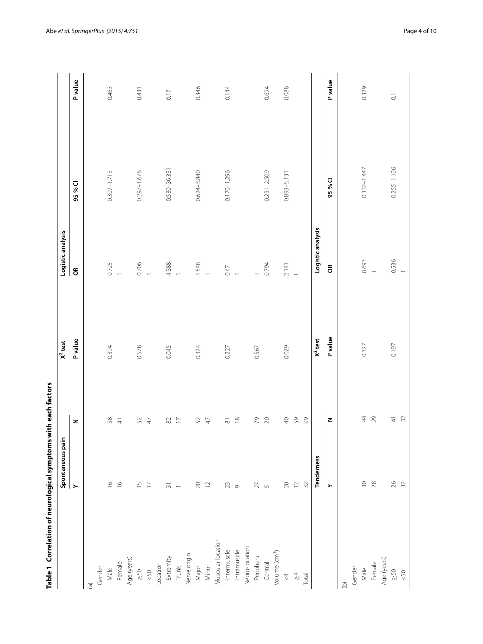<span id="page-3-0"></span>

| Table 1 Correlation of neurological symptoms with each factors | Spontaneous pain                       |                       | $X2$ test      | Logistic analysis  |                 |                       |
|----------------------------------------------------------------|----------------------------------------|-----------------------|----------------|--------------------|-----------------|-----------------------|
|                                                                | $\geq$                                 | z                     | <b>P</b> value | $\epsilon$         | 95 % CI         | P value               |
| $\widehat{a}$                                                  |                                        |                       |                |                    |                 |                       |
| Gender                                                         |                                        |                       |                |                    |                 |                       |
|                                                                | $\frac{\infty}{\sqrt{2}}$              | $58\,$                | 0.394          | 0.725              | $0.307 - 1.713$ | 0.463                 |
| Male<br>Female                                                 | $\frac{\infty}{2}$                     | $\overline{4}$        |                |                    |                 |                       |
|                                                                |                                        |                       |                |                    |                 |                       |
| Age (years)<br>$\geq 50$                                       | $\overline{15}$                        | $52\,$                | 0.578          | 0.706              | $0.297 - 1.678$ | 0.431                 |
| 50                                                             | $\overline{\phantom{0}}$               | $47\,$                |                |                    |                 |                       |
| Location                                                       |                                        |                       |                |                    |                 |                       |
| Extremity                                                      | $\overline{\mathcal{S}}$ 1             | $\rm 82$              | 0.045          | 4.388              | 0.530-36.331    | 0.17                  |
| Trunk                                                          | $\leftarrow$                           | $\Box$                |                | $\overline{a}$     |                 |                       |
| Nerve origin                                                   |                                        |                       |                |                    |                 |                       |
| Major                                                          | $\begin{array}{c} 20 \\ 2 \end{array}$ | $\mathcal{S}$         | 0.324          | $1.548$<br>1       | 0.624-3.840     | 0.346                 |
| Minor                                                          |                                        | $47\,$                |                |                    |                 |                       |
| Muscular location                                              |                                        |                       |                |                    |                 |                       |
| Intermuscle                                                    | $23\,$                                 | $\overline{\infty}$   | 0.227          | 0.47               | $0.170 - 1.296$ | 0.144                 |
| Intramuscle                                                    | $\circ$                                | $\overset{\infty}{=}$ |                |                    |                 |                       |
| Neuro-location                                                 |                                        |                       |                |                    |                 |                       |
| Peripheral                                                     | $\geq$                                 | $\mathcal{L}$         | 0.567          |                    |                 |                       |
| Central                                                        | $\sqrt{2}$                             | $\gtrsim$             |                | 0.794              | $0.251 - 2.509$ | 0.694                 |
| Volume (cm <sup>3</sup> )                                      |                                        |                       |                |                    |                 |                       |
| $\triangleq$                                                   | $\gtrsim$                              | $\ominus$             | 0.029          | 2.141              | $0.893 - 5.131$ | 0.088                 |
| $\frac{\lambda}{4}$                                            | $\mathrel{\supseteq}$                  | $50\,$                |                |                    |                 |                       |
| Total                                                          | $32$                                   | 99                    |                |                    |                 |                       |
|                                                                | Tenderness                             |                       | $X2$ test      | Logistic analysis  |                 |                       |
|                                                                | $\succ$                                | z                     | P value        | $\mathsf{g}% _{T}$ | 95% CI          | P value               |
| $\widehat{\Theta}$                                             |                                        |                       |                |                    |                 |                       |
| Gender                                                         |                                        |                       |                |                    |                 |                       |
| Male                                                           | $\approx 0$                            | 44                    | 0.327          | 0.693              | $0.332 - 1.447$ | 0.329                 |
| Female                                                         | $28$                                   | 29                    |                | $\overline{ }$     |                 |                       |
| Age (years)                                                    |                                        |                       |                |                    |                 |                       |
| $\frac{50}{50}$                                                | 26                                     | $\frac{1}{4}$         | 0.197          | 0.536              | $0.255 - 1.126$ | $\overline{\text{o}}$ |
|                                                                | 32                                     | $\overline{32}$       |                |                    |                 |                       |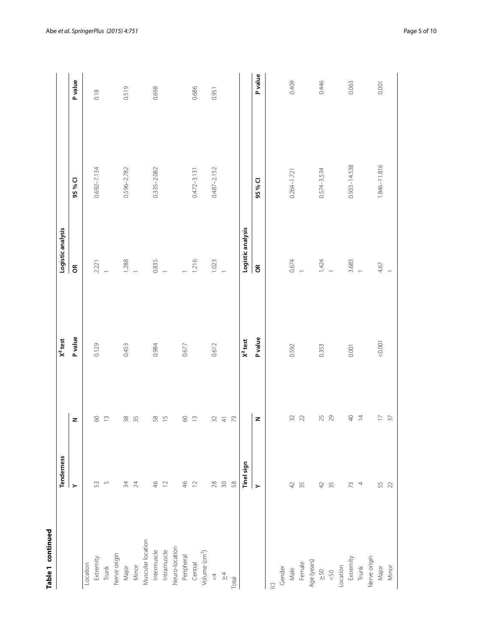| c |  |
|---|--|
|   |  |
|   |  |
|   |  |
|   |  |

| Table 1 continued         |                       |                                          |                |                   |                  |         |
|---------------------------|-----------------------|------------------------------------------|----------------|-------------------|------------------|---------|
|                           | Tenderness            |                                          | $X^2$ test     | Logistic analysis |                  |         |
|                           | $\blacktriangleright$ | z                                        | P value        | $\epsilon$        | 95% CI           | P value |
| Location                  |                       |                                          |                |                   |                  |         |
| Extremity                 | 53                    | $\mbox{S}$                               | 0.129          | 2.221             | $0.692 - 7.134$  | 0.18    |
| Trunk                     | $\overline{5}$        | $\widetilde{\Box}$                       |                |                   |                  |         |
| Nerve origin              |                       |                                          |                |                   |                  |         |
| Major                     | 34                    | $38\,$                                   | 0.453          | 1.288             | $0.596 - 2.782$  | 0.519   |
| Minor                     | 24                    | 35                                       |                |                   |                  |         |
| Muscular location         |                       |                                          |                |                   |                  |         |
| Intermuscle               | $\frac{4}{6}$         | 58                                       | 0.984          | 0.835             | 0.335-2.082      | 0.698   |
| Intramuscle               | $\overline{1}$        | $\frac{5}{1}$                            |                |                   |                  |         |
| Neuro-location            |                       |                                          |                |                   |                  |         |
| Peripheral                | $\frac{4}{6}$         | $\mbox{S}$                               | 0.677          |                   |                  |         |
| Central                   | $\overline{C}$        | $\widetilde{\Box}$                       |                | 1.216             | $0.472 - 3.131$  | 0.686   |
| Volume (cm <sup>3</sup> ) |                       |                                          |                |                   |                  |         |
| $\stackrel{4}{\vee}$      | $28$                  | 32                                       | 0.612          | 1.023             | $0.487 - 2.152$  | 0.951   |
| $\frac{\lambda}{4}$       | $\approx 0$           | $\frac{4}{5}$                            |                | $\overline{a}$    |                  |         |
| Total                     | $58$                  | 73                                       |                |                   |                  |         |
|                           | Tinel sign            |                                          | $X2$ test      | Logistic analysis |                  |         |
|                           | Y                     | z                                        | <b>P</b> value | $\epsilon$        | 95 % CI          | P value |
| $\odot$                   |                       |                                          |                |                   |                  |         |
| Gender                    |                       |                                          |                |                   |                  |         |
| Male                      | 42                    | 32                                       | 0.592          | 0.674             | $0.264 - 1.721$  | 0.409   |
| Female                    | 35                    | 22                                       |                |                   |                  |         |
| Age (years)               |                       |                                          |                |                   |                  |         |
| $\frac{50}{2}$            | 42                    | 25                                       | 0.353          | $1.424$<br>1      | 0.574-3.534      | 0.446   |
| &50                       | 35                    | 29                                       |                |                   |                  |         |
| Location                  |                       |                                          |                |                   |                  |         |
| Extremity<br>Trunk        | 73                    | $\mathrel{\mathop{\mathsf{Q}}\nolimits}$ | 0.001          | 3.683             | $0.933 - 14.538$ | 0.063   |
|                           | 4                     | $\overline{4}$                           |                |                   |                  |         |
| Nerve origin              |                       |                                          |                |                   |                  |         |
| Major                     | 55                    | $\Box$                                   | 0.001          | 4.67              | 1.846-11.816     | 0.001   |
| Minor                     | 22                    | $\overline{37}$                          |                |                   |                  |         |
|                           |                       |                                          |                |                   |                  |         |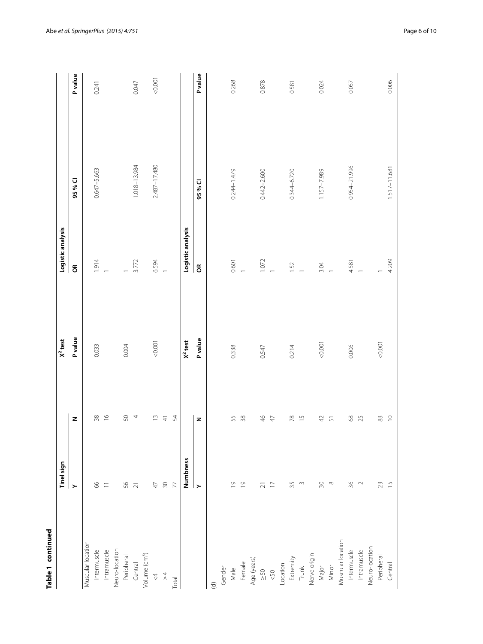| ؚ      |
|--------|
|        |
|        |
|        |
|        |
| י      |
| ī<br>ı |
|        |
| ٠      |
| ١<br>¢ |
|        |
|        |
|        |
|        |

|                           | <b>Tinel sign</b>                   |                            | $X2$ test      | Logistic analysis |                 |         |
|---------------------------|-------------------------------------|----------------------------|----------------|-------------------|-----------------|---------|
|                           | $\succ$                             | z                          | <b>P</b> value | $\epsilon$        | 95 % CI         | P value |
| Muscular location         |                                     |                            |                |                   |                 |         |
| Intermuscle               | $8o$                                | $38$                       | 0.033          | 1.914             | $0.647 - 5.663$ | 0.241   |
| Intramuscle               | $\overline{-}$                      | $\frac{6}{1}$              |                | $\frac{1}{2}$     |                 |         |
| Neuro-location            |                                     |                            |                |                   |                 |         |
| Peripheral                | 56 21                               | 50                         | 0.004          | $\overline{a}$    |                 |         |
| Central                   |                                     | 4                          |                | 3.772             | 1.018-13.984    | 0.047   |
| Volume (cm <sup>3</sup> ) |                                     |                            |                |                   |                 |         |
| $\stackrel{<}{\sim}$      | $47\,$                              | $\frac{1}{2}$              | 0.001          | 6.594             | 2.487-17.480    | 0.001   |
| $\frac{\lambda}{4}$       | $\Im$                               | $\overline{4}$             |                | $\overline{a}$    |                 |         |
| Total                     | 77                                  | 54                         |                |                   |                 |         |
|                           | Numbness                            |                            | $X2$ test      | Logistic analysis |                 |         |
|                           | $\geq$                              | z                          | <b>P</b> value | $\epsilon$        | 95%CI           | P value |
| $\widehat{\sigma}$        |                                     |                            |                |                   |                 |         |
| Gender                    |                                     |                            |                |                   |                 |         |
| Male                      | $\overline{\mathrm{o}}$             | 55                         | 0.338          | 0.601             | 0.244-1.479     | 0.268   |
| Female                    | $\overline{0}$                      | $38$                       |                | $\overline{a}$    |                 |         |
| Age (years)               |                                     |                            |                |                   |                 |         |
| $\geq 50$                 | $\overline{\sim}$ $\overline{\sim}$ | $\frac{1}{2}$              | 0.547          | 1.072             | 0.442-2.600     | 0.878   |
| $<$ 50                    |                                     | $47\,$                     |                |                   |                 |         |
| Location                  |                                     |                            |                |                   |                 |         |
| Extremity                 | 35                                  | $\sqrt{8}$                 | 0.214          | 1.52              | 0.344-6.720     | 0.581   |
| Trunk                     | $\sim$                              | $\frac{5}{1}$              |                |                   |                 |         |
| Nerve origin              |                                     |                            |                |                   |                 |         |
| Major                     | $\Im \mathrm{O}$                    | $\exists$                  | 0.001          | 3.04              | 1.157-7.989     | 0.024   |
| Minor                     | $\infty$                            | $\overline{5}$             |                |                   |                 |         |
| Muscular location         |                                     |                            |                |                   |                 |         |
| Intermuscle               | 36                                  | $\ensuremath{\mathsf{68}}$ | 0.006          | 4.581             | 0.954-21.996    | 0.057   |
| Intramuscle               | $\sim$                              | 25                         |                |                   |                 |         |
| Neuro-location            |                                     |                            |                |                   |                 |         |
| Peripheral                | $23\,$                              | $\stackrel{\sim}{\infty}$  | 0.001          |                   |                 |         |
| Central                   | $\frac{1}{2}$                       | $\supseteq$                |                | 4.209             | 1.517-11.681    | 0.006   |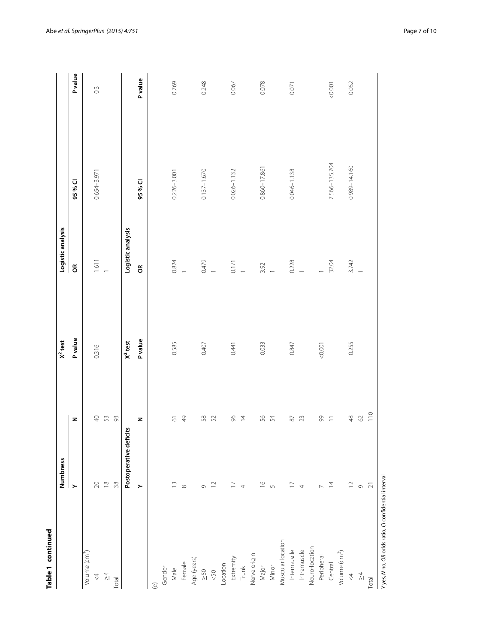| г |
|---|
| ļ |
|   |
| ţ |
| c |
|   |
|   |
| ֠ |

| Table 1 continued                                   |                          |                    |                |                   |                  |          |
|-----------------------------------------------------|--------------------------|--------------------|----------------|-------------------|------------------|----------|
|                                                     | Numbness                 |                    | $X2$ test      | Logistic analysis |                  |          |
|                                                     | $\succ$                  | z                  | <b>P</b> value | $\epsilon$        | 95% CI           | P value  |
| Volume (cm <sup>3</sup> )                           |                          |                    |                |                   |                  |          |
| $\stackrel{\wedge}{\mathcal{A}}$                    | $\gtrsim$                |                    | 0.316          | 1.611             | 0.654-3.971      | $\rm{C}$ |
| $\frac{\lambda}{4}$                                 | $\approx$                | 4 5 3              |                |                   |                  |          |
| Total                                               | $38$                     |                    |                |                   |                  |          |
|                                                     | Postoperative deficits   |                    | $X^2$ test     | Logistic analysis |                  |          |
|                                                     | $\succ$                  | z                  | Pvalue         | $\epsilon$        | 95 % CI          | P value  |
| $\widehat{e}$                                       |                          |                    |                |                   |                  |          |
| Gender                                              |                          |                    |                |                   |                  |          |
| Male                                                | $\tilde{=}$              | $\overline{\circ}$ | 0.585          | 0.824             | $0.226 - 3.001$  | 0.769    |
| Female                                              | $\infty$                 | $\frac{1}{2}$      |                |                   |                  |          |
| Age (years)                                         |                          |                    |                |                   |                  |          |
| $\geq 50$                                           | Ò                        | 58 52              | 0.407          | 0.479             | $0.137 - 1.670$  | 0.248    |
| &50                                                 | $\supseteq$              |                    |                | $\overline{a}$    |                  |          |
| Location                                            |                          |                    |                |                   |                  |          |
| Extremity                                           | $\overline{a}$           | $96$               | 0.441          | 0.171             | $0.026 - 1.132$  | 0.067    |
| Trunk                                               | 4                        | $\overline{4}$     |                | $\overline{a}$    |                  |          |
| Nerve origin                                        |                          |                    |                |                   |                  |          |
| Major                                               | $\tilde{=}$              | SG                 | 0.033          |                   | 0.860-17.861     | 0.078    |
| Minor                                               | $\sqrt{2}$               | 54                 |                | $3.92$<br>1       |                  |          |
| Muscular location                                   |                          |                    |                |                   |                  |          |
| Intermuscle                                         | $\overline{\phantom{0}}$ | $\rm 87$           | 0.847          | 0.228             | $0.046 - 1.138$  | 0.071    |
| Intramuscle                                         | 4                        | 23                 |                |                   |                  |          |
| Neuro-location                                      |                          |                    |                |                   |                  |          |
| Peripheral                                          |                          | $= 8$              | 0.001          |                   |                  |          |
| Central                                             | $\overline{4}$           |                    |                | 32.04             | 7.566-135.704    | 0.001    |
| Volume (cm <sup>3</sup> )                           |                          |                    |                |                   |                  |          |
| $\triangle$                                         | $\supseteq$              | $48$               | 0.255          | 3.742             | $0.989 - 14.160$ | 0.052    |
| $\frac{\lambda}{4}$                                 | $\circ$                  | $\odot$            |                |                   |                  |          |
| Total                                               | $\overline{\sim}$        | 110                |                |                   |                  |          |
| Yyes, N no, OR odds ratio, CI confidential interval |                          |                    |                |                   |                  |          |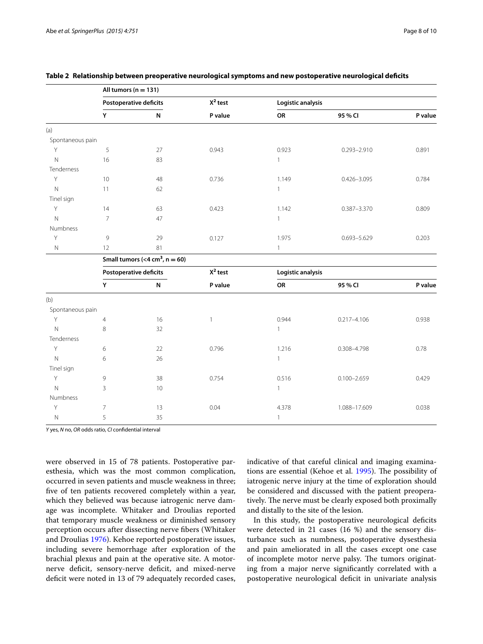|                  |                 | All tumors ( $n = 131$ )                       |              |                   |                 |         |
|------------------|-----------------|------------------------------------------------|--------------|-------------------|-----------------|---------|
|                  |                 | <b>Postoperative deficits</b>                  | $X^2$ test   | Logistic analysis |                 |         |
|                  | Y               | N                                              | P value      | OR                | 95 % CI         | P value |
| (a)              |                 |                                                |              |                   |                 |         |
| Spontaneous pain |                 |                                                |              |                   |                 |         |
| Y                | 5               | 27                                             | 0.943        | 0.923             | $0.293 - 2.910$ | 0.891   |
| $\mathsf{N}$     | 16              | 83                                             |              | $\mathbf{1}$      |                 |         |
| Tenderness       |                 |                                                |              |                   |                 |         |
| $\mathsf Y$      | 10              | 48                                             | 0.736        | 1.149             | $0.426 - 3.095$ | 0.784   |
| $\mathsf{N}$     | 11              | 62                                             |              | $\mathbf{1}$      |                 |         |
| Tinel sign       |                 |                                                |              |                   |                 |         |
| Y                | 14              | 63                                             | 0.423        | 1.142             | $0.387 - 3.370$ | 0.809   |
| $\mathsf{N}$     | $\overline{7}$  | 47                                             |              | $\mathbf{1}$      |                 |         |
| Numbness         |                 |                                                |              |                   |                 |         |
| Y                | 9               | 29                                             | 0.127        | 1.975             | $0.693 - 5.629$ | 0.203   |
| $\hbox{N}$       | 12              | 81                                             |              | $\mathbf{1}$      |                 |         |
|                  |                 | Small tumors ( $<$ 4 cm <sup>3</sup> , n = 60) |              |                   |                 |         |
|                  |                 | Postoperative deficits                         | $X^2$ test   | Logistic analysis |                 |         |
|                  | $\mathsf Y$     | $\boldsymbol{\mathsf{N}}$                      | P value      | OR                | 95 % CI         | P value |
| (b)              |                 |                                                |              |                   |                 |         |
| Spontaneous pain |                 |                                                |              |                   |                 |         |
| Y                | $\overline{4}$  | 16                                             | $\mathbf{1}$ | 0.944             | $0.217 - 4.106$ | 0.938   |
| N                | 8               | 32                                             |              | $\mathbf{1}$      |                 |         |
| Tenderness       |                 |                                                |              |                   |                 |         |
| Y                | 6               | 22                                             | 0.796        | 1.216             | $0.308 - 4.798$ | 0.78    |
| $\mathsf{N}$     | 6               | 26                                             |              | $\mathbf{1}$      |                 |         |
| Tinel sign       |                 |                                                |              |                   |                 |         |
| $\mathsf Y$      | 9               | 38                                             | 0.754        | 0.516             | $0.100 - 2.659$ | 0.429   |
| $\mathsf N$      | 3               | $10$                                           |              | $\mathbf{1}$      |                 |         |
| Numbness         |                 |                                                |              |                   |                 |         |
| Y                | $7\overline{ }$ | 13                                             | 0.04         | 4.378             | 1.088-17.609    | 0.038   |
| N                | 5               | 35                                             |              | $\mathbf{1}$      |                 |         |
|                  |                 |                                                |              |                   |                 |         |

### <span id="page-7-0"></span>**Table 2 Relationship between preoperative neurological symptoms and new postoperative neurological deficits**

*Y* yes, *N* no, *OR* odds ratio, *CI* confidential interval

were observed in 15 of 78 patients. Postoperative paresthesia, which was the most common complication, occurred in seven patients and muscle weakness in three; five of ten patients recovered completely within a year, which they believed was because iatrogenic nerve damage was incomplete. Whitaker and Droulias reported that temporary muscle weakness or diminished sensory perception occurs after dissecting nerve fibers (Whitaker and Droulias [1976](#page-9-13)). Kehoe reported postoperative issues, including severe hemorrhage after exploration of the brachial plexus and pain at the operative site. A motornerve deficit, sensory-nerve deficit, and mixed-nerve deficit were noted in 13 of 79 adequately recorded cases, indicative of that careful clinical and imaging examinations are essential (Kehoe et al. [1995](#page-9-14)). The possibility of iatrogenic nerve injury at the time of exploration should be considered and discussed with the patient preoperatively. The nerve must be clearly exposed both proximally and distally to the site of the lesion.

In this study, the postoperative neurological deficits were detected in 21 cases (16 %) and the sensory disturbance such as numbness, postoperative dysesthesia and pain ameliorated in all the cases except one case of incomplete motor nerve palsy. The tumors originating from a major nerve significantly correlated with a postoperative neurological deficit in univariate analysis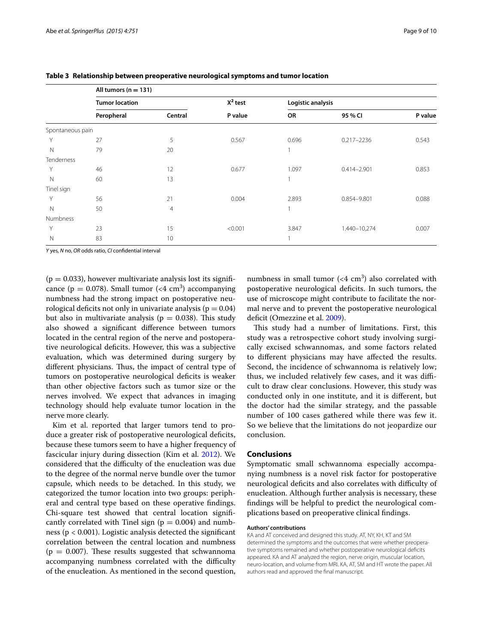|                  | All tumors ( $n = 131$ ) |         |            |                   |                 |         |
|------------------|--------------------------|---------|------------|-------------------|-----------------|---------|
|                  | <b>Tumor location</b>    |         | $X^2$ test | Logistic analysis |                 |         |
|                  | Peropheral               | Central | P value    | OR                | 95 % CI         | P value |
| Spontaneous pain |                          |         |            |                   |                 |         |
| Υ                | 27                       | 5       | 0.567      | 0.696             | $0.217 - 2236$  | 0.543   |
| $\mathbb N$      | 79                       | 20      |            | $\mathbf{1}$      |                 |         |
| Tenderness       |                          |         |            |                   |                 |         |
| Υ                | 46                       | 12      | 0.677      | 1.097             | $0.414 - 2.901$ | 0.853   |
| $\mathbb N$      | 60                       | 13      |            | 1                 |                 |         |
| Tinel sign       |                          |         |            |                   |                 |         |
| Υ                | 56                       | 21      | 0.004      | 2.893             | 0.854-9.801     | 0.088   |
| $\mathbb N$      | 50                       | 4       |            | 1                 |                 |         |
| Numbness         |                          |         |            |                   |                 |         |
| Υ                | 23                       | 15      | < 0.001    | 3.847             | 1.440-10,274    | 0.007   |
| $\mathbb N$      | 83                       | 10      |            | 1                 |                 |         |

<span id="page-8-0"></span>**Table 3 Relationship between preoperative neurological symptoms and tumor location**

*Y* yes, *N* no, *OR* odds ratio, *CI* confidential interval

 $(p = 0.033)$ , however multivariate analysis lost its significance ( $p = 0.078$ ). Small tumor (<4 cm<sup>3</sup>) accompanying numbness had the strong impact on postoperative neurological deficits not only in univariate analysis ( $p = 0.04$ ) but also in multivariate analysis ( $p = 0.038$ ). This study also showed a significant difference between tumors located in the central region of the nerve and postoperative neurological deficits. However, this was a subjective evaluation, which was determined during surgery by different physicians. Thus, the impact of central type of tumors on postoperative neurological deficits is weaker than other objective factors such as tumor size or the nerves involved. We expect that advances in imaging technology should help evaluate tumor location in the nerve more clearly.

Kim et al. reported that larger tumors tend to produce a greater risk of postoperative neurological deficits, because these tumors seem to have a higher frequency of fascicular injury during dissection (Kim et al. [2012](#page-9-8)). We considered that the difficulty of the enucleation was due to the degree of the normal nerve bundle over the tumor capsule, which needs to be detached. In this study, we categorized the tumor location into two groups: peripheral and central type based on these operative findings. Chi-square test showed that central location significantly correlated with Tinel sign ( $p = 0.004$ ) and numbness ( $p < 0.001$ ). Logistic analysis detected the significant correlation between the central location and numbness  $(p = 0.007)$ . These results suggested that schwannoma accompanying numbness correlated with the difficulty of the enucleation. As mentioned in the second question,

numbness in small tumor  $( $4 \text{ cm}^3$ )$  also correlated with postoperative neurological deficits. In such tumors, the use of microscope might contribute to facilitate the normal nerve and to prevent the postoperative neurological deficit (Omezzine et al. [2009](#page-9-15)).

This study had a number of limitations. First, this study was a retrospective cohort study involving surgically excised schwannomas, and some factors related to different physicians may have affected the results. Second, the incidence of schwannoma is relatively low; thus, we included relatively few cases, and it was difficult to draw clear conclusions. However, this study was conducted only in one institute, and it is different, but the doctor had the similar strategy, and the passable number of 100 cases gathered while there was few it. So we believe that the limitations do not jeopardize our conclusion.

## **Conclusions**

Symptomatic small schwannoma especially accompanying numbness is a novel risk factor for postoperative neurological deficits and also correlates with difficulty of enucleation. Although further analysis is necessary, these findings will be helpful to predict the neurological complications based on preoperative clinical findings.

### **Authors' contributions**

KA and AT conceived and designed this study. AT, NY, KH, KT and SM determined the symptoms and the outcomes that were whether preoperative symptoms remained and whether postoperative neurological deficits appeared. KA and AT analyzed the region, nerve origin, muscular location, neuro-location, and volume from MRI. KA, AT, SM and HT wrote the paper. All authors read and approved the final manuscript.